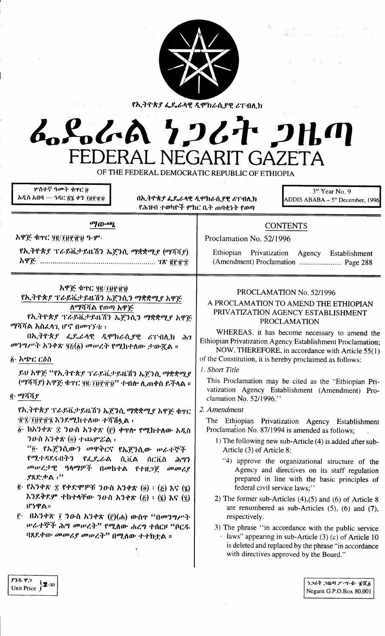

የኢትዮጵያ ፌዴራላዊ ዲሞክራሲያዊ ሪፐብሊክ

# ふらんあ クンムヤ クルの FEDERAI NEGARIT GAZETA

OF THE FEDERAL DEMOCRATIC REPUBLIC OF ETHIOPIA

**ሦስተኛ ዓ**መት ቁዋር ü አዲስ አበባ — ኅዳር ጽሄ ቀን ፓፀየብህ

አዋጅ ቁጥር ሃይ/፲፱፻፹፱ ዓ-ም-

በኢትዮጵያ ፌዴራላዊ ዲሞክራሲያዊ ሪፐብሊክ የሕዝብ ተወካዮች ምክር ቤት ጠባቂነት የወጣ

 $3<sup>nd</sup>$  Year No. 9 ADDIS ABABA –  $5<sup>m</sup>$  December, 1996

# **CONTENTS**

Proclamation No. 52/1996

Ethiopian Privatization Agency Establishment (Amendment) Proclamation ......................... Page 288

## አዋጅ ቁጥር ፶፪/፲፱፻፹፱

የኢትዮጵያ ፕራይቬታይዜሽን ኤጀንሲን ማቋቋሚያ አዋጅ ለማሻሻል የወጣ አዋጅ

 $^{a}$ *{*  $^{a}$ } $^{b}$ 

የኢትዮጵያ ፕራይቬታይዜሽን ኤጀንሲ ማቋቋሚያ (ማሻሻያ)

የኢትዮጵያ ፕራይቬታይዜሽን ኤጀንሲን ማቋቋሚያ አዋጅ *ማሻሻል አስፈላጊ* ሆኖ በ*መገኘቱ* ፡፡

በኢትዮጵያ ፌዶሬላዊ ዲሞክራሲያዊ ሪፐብሲክ ሕገ መንግሥት አንቀጽ ፶፩(፩) መሠረት የሚከተለው ታውጇል ።

፩· አጭር ርዕስ

ይህ አዋጅ "የኢትዮጵያ ፕራይቬታይዜሽን ኤጀንሲ ማቋቋሚያ (ማሻሻደ) አዋጅ ቁዋር ፶፪/፲፱፻፹፱" ተብሎ ሊጠቀስ ይችላል ።

i. ማሻሻ የ

የኢትዮጵያ ፕራይቬታይዜሽን ኤጀንሲ ማቋቋሚያ አዋጅ ቁዋር ·፲፱?/፲፱፻፲፫? እንደሚከተለው ተሻሽሏል ፡

- ንውስ አንቀጽ  $(\delta)$  ተጨምሯል ፣ "፬ የኤጀንሲውን መዋቅርና የኤጀንሲው ሥራተኞች የሚተዳደሩበትን የፌዶሬል ሲቪል ሰርቪስ ሕግን መሠረታዊ ዓላማዎች በመከተል የተዘጋጀ መመሪያ
- ያጸድቃል ፡<sup></sup>'' <u>ጀ· የአንቀጽ ቌ የቀድሞዎቹ ንውስ አንቀጽ (፴) ፡ (⋩) እና (፮)</u>
- እንደቅደም ተከተላቸው ንውስ አንቀጽ  $(\xi) : (\xi)$  እና  $(\xi)$ ሆነዋል።
- <u>ë</u> በአንቀጽ ፲ ንዑስ አንቀጽ (ĝ)(ሐ) ውስዋ "በመንግሥት ሥራተኞች ሕግ መሠረት<sup>ንን</sup> የሚለው ሐረግ ተሰርዞ "ቦር*ዱ* ባጸደቀው *መመሪያ መሠረት<sup>ን</sup>* በሚለው ተተክቷል ።

# PROCLAMATION No. 52/1996

# A PROCLAMATION TO AMEND THE ETHIOPIAN PRIVATIZATION AGENCY ESTABLISHMENT **PROCLAMATION**

WHEREAS, it has become necessary to amend the Ethiopian Privatization Agency Establishment Proclamation;

NOW, THEREFORE, in accordance with Article 55(1) of the Constitution, it is hereby proclaimed as follows:

# 1. Short Title

This Proclamation may be cited as the "Ethiopian Privatization Agency Establishment (Amendment) Proclamation No. 52/1996."

## 2. Amendment

The Ethiopian Privatization Agency Establishment Proclamation No. 87/1994 is amended as follows:

- 1) The following new sub-Article (4) is added after sub-Article (3) of Article 8:
	- "4) approve the organizational structure of the Agency and directives on its staff regulation prepared in line with the basic principles of federal civil service laws;"
- 2) The former sub-Articles  $(4)$ ,  $(5)$  and  $(6)$  of Article 8 are renumbered as sub-Articles  $(5)$ ,  $(6)$  and  $(7)$ , respectively.
- 3) The phrase "in accordance with the public service laws" appearing in sub-Article  $(3)$  (c) of Article 10 is deleted and replaced by the phrase "in accordance with directives approved by the Board."